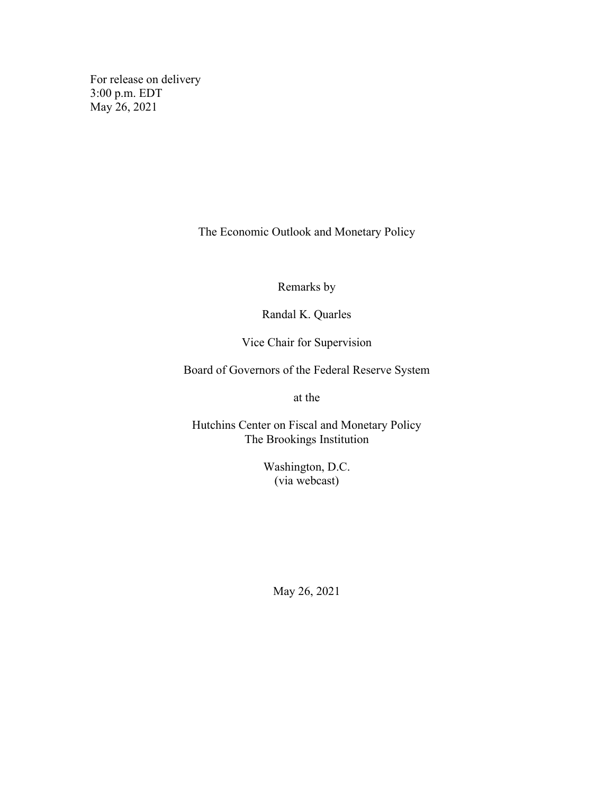For release on delivery 3:00 p.m. EDT May 26, 2021

The Economic Outlook and Monetary Policy

Remarks by

Randal K. Quarles

Vice Chair for Supervision

Board of Governors of the Federal Reserve System

at the

Hutchins Center on Fiscal and Monetary Policy The Brookings Institution

> Washington, D.C. (via webcast)

May 26, 2021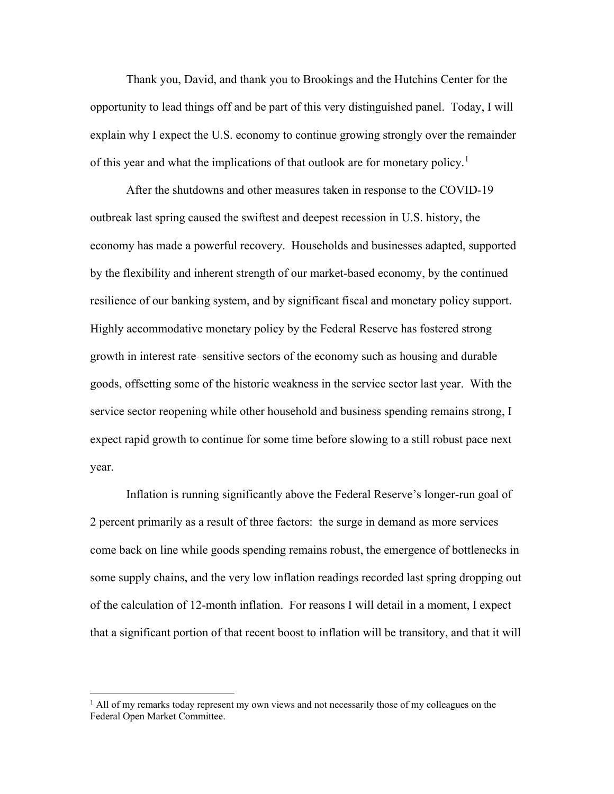Thank you, David, and thank you to Brookings and the Hutchins Center for the opportunity to lead things off and be part of this very distinguished panel. Today, I will explain why I expect the U.S. economy to continue growing strongly over the remainder of this year and what the implications of that outlook are for monetary policy.<sup>[1](#page-1-0)</sup>

After the shutdowns and other measures taken in response to the COVID-19 outbreak last spring caused the swiftest and deepest recession in U.S. history, the economy has made a powerful recovery. Households and businesses adapted, supported by the flexibility and inherent strength of our market-based economy, by the continued resilience of our banking system, and by significant fiscal and monetary policy support. Highly accommodative monetary policy by the Federal Reserve has fostered strong growth in interest rate–sensitive sectors of the economy such as housing and durable goods, offsetting some of the historic weakness in the service sector last year. With the service sector reopening while other household and business spending remains strong, I expect rapid growth to continue for some time before slowing to a still robust pace next year.

Inflation is running significantly above the Federal Reserve's longer-run goal of 2 percent primarily as a result of three factors: the surge in demand as more services come back on line while goods spending remains robust, the emergence of bottlenecks in some supply chains, and the very low inflation readings recorded last spring dropping out of the calculation of 12-month inflation. For reasons I will detail in a moment, I expect that a significant portion of that recent boost to inflation will be transitory, and that it will

<span id="page-1-0"></span><sup>&</sup>lt;sup>1</sup> All of my remarks today represent my own views and not necessarily those of my colleagues on the Federal Open Market Committee.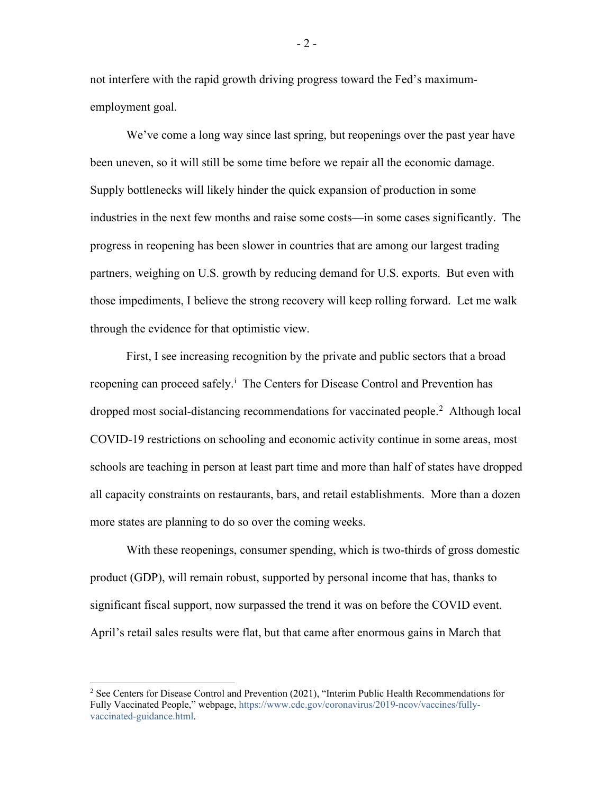not interfere with the rapid growth driving progress toward the Fed's maximumemployment goal.

We've come a long way since last spring, but reopenings over the past year have been uneven, so it will still be some time before we repair all the economic damage. Supply bottlenecks will likely hinder the quick expansion of production in some industries in the next few months and raise some costs—in some cases significantly. The progress in reopening has been slower in countries that are among our largest trading partners, weighing on U.S. growth by reducing demand for U.S. exports. But even with those impediments, I believe the strong recovery will keep rolling forward. Let me walk through the evidence for that optimistic view.

First, I see increasing recognition by the private and public sectors that a broad reopen[i](#page-12-0)ng can proceed safely.<sup>i</sup> The Centers for Disease Control and Prevention has dropped most social-distancing recommendations for vaccinated people.<sup>[2](#page-2-0)</sup> Although local COVID-19 restrictions on schooling and economic activity continue in some areas, most schools are teaching in person at least part time and more than half of states have dropped all capacity constraints on restaurants, bars, and retail establishments. More than a dozen more states are planning to do so over the coming weeks.

With these reopenings, consumer spending, which is two-thirds of gross domestic product (GDP), will remain robust, supported by personal income that has, thanks to significant fiscal support, now surpassed the trend it was on before the COVID event. April's retail sales results were flat, but that came after enormous gains in March that

 $-2-$ 

<span id="page-2-0"></span><sup>&</sup>lt;sup>2</sup> See Centers for Disease Control and Prevention (2021), "Interim Public Health Recommendations for Fully Vaccinated People," webpage, [https://www.cdc.gov/coronavirus/2019-ncov/vaccines/fully](https://www.cdc.gov/coronavirus/2019-ncov/vaccines/fully-vaccinated-guidance.html)[vaccinated-guidance.html.](https://www.cdc.gov/coronavirus/2019-ncov/vaccines/fully-vaccinated-guidance.html)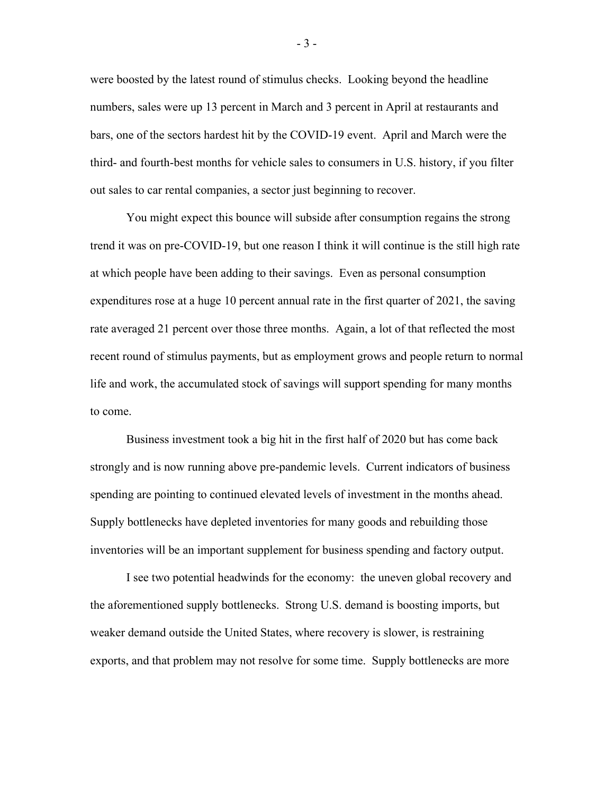were boosted by the latest round of stimulus checks. Looking beyond the headline numbers, sales were up 13 percent in March and 3 percent in April at restaurants and bars, one of the sectors hardest hit by the COVID-19 event. April and March were the third- and fourth-best months for vehicle sales to consumers in U.S. history, if you filter out sales to car rental companies, a sector just beginning to recover.

You might expect this bounce will subside after consumption regains the strong trend it was on pre-COVID-19, but one reason I think it will continue is the still high rate at which people have been adding to their savings. Even as personal consumption expenditures rose at a huge 10 percent annual rate in the first quarter of 2021, the saving rate averaged 21 percent over those three months. Again, a lot of that reflected the most recent round of stimulus payments, but as employment grows and people return to normal life and work, the accumulated stock of savings will support spending for many months to come.

Business investment took a big hit in the first half of 2020 but has come back strongly and is now running above pre-pandemic levels. Current indicators of business spending are pointing to continued elevated levels of investment in the months ahead. Supply bottlenecks have depleted inventories for many goods and rebuilding those inventories will be an important supplement for business spending and factory output.

I see two potential headwinds for the economy: the uneven global recovery and the aforementioned supply bottlenecks. Strong U.S. demand is boosting imports, but weaker demand outside the United States, where recovery is slower, is restraining exports, and that problem may not resolve for some time. Supply bottlenecks are more

- 3 -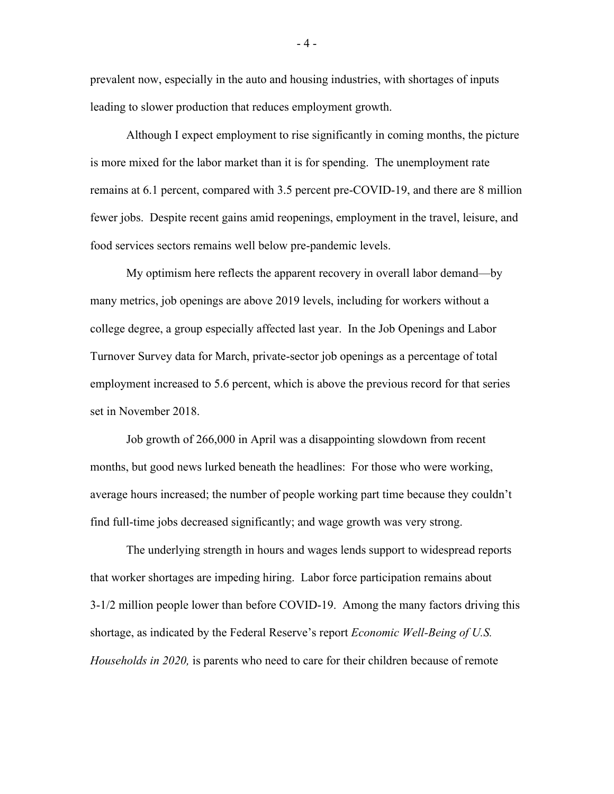prevalent now, especially in the auto and housing industries, with shortages of inputs leading to slower production that reduces employment growth.

Although I expect employment to rise significantly in coming months, the picture is more mixed for the labor market than it is for spending. The unemployment rate remains at 6.1 percent, compared with 3.5 percent pre-COVID-19, and there are 8 million fewer jobs. Despite recent gains amid reopenings, employment in the travel, leisure, and food services sectors remains well below pre-pandemic levels.

My optimism here reflects the apparent recovery in overall labor demand—by many metrics, job openings are above 2019 levels, including for workers without a college degree, a group especially affected last year. In the Job Openings and Labor Turnover Survey data for March, private-sector job openings as a percentage of total employment increased to 5.6 percent, which is above the previous record for that series set in November 2018.

Job growth of 266,000 in April was a disappointing slowdown from recent months, but good news lurked beneath the headlines: For those who were working, average hours increased; the number of people working part time because they couldn't find full-time jobs decreased significantly; and wage growth was very strong.

The underlying strength in hours and wages lends support to widespread reports that worker shortages are impeding hiring. Labor force participation remains about 3-1/2 million people lower than before COVID-19. Among the many factors driving this shortage, as indicated by the Federal Reserve's report *Economic Well-Being of U.S. Households in 2020,* is parents who need to care for their children because of remote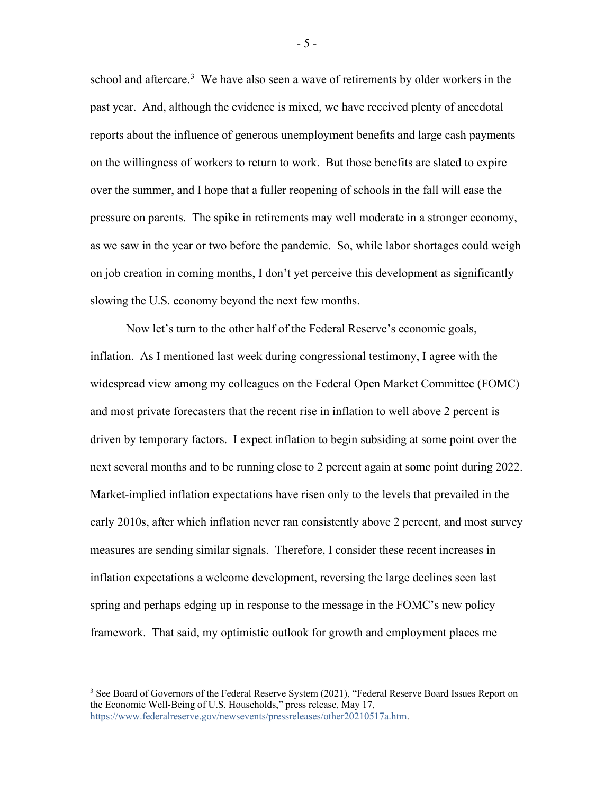school and aftercare.<sup>[3](#page-5-0)</sup> We have also seen a wave of retirements by older workers in the past year. And, although the evidence is mixed, we have received plenty of anecdotal reports about the influence of generous unemployment benefits and large cash payments on the willingness of workers to return to work. But those benefits are slated to expire over the summer, and I hope that a fuller reopening of schools in the fall will ease the pressure on parents. The spike in retirements may well moderate in a stronger economy, as we saw in the year or two before the pandemic. So, while labor shortages could weigh on job creation in coming months, I don't yet perceive this development as significantly slowing the U.S. economy beyond the next few months.

Now let's turn to the other half of the Federal Reserve's economic goals, inflation. As I mentioned last week during congressional testimony, I agree with the widespread view among my colleagues on the Federal Open Market Committee (FOMC) and most private forecasters that the recent rise in inflation to well above 2 percent is driven by temporary factors. I expect inflation to begin subsiding at some point over the next several months and to be running close to 2 percent again at some point during 2022. Market-implied inflation expectations have risen only to the levels that prevailed in the early 2010s, after which inflation never ran consistently above 2 percent, and most survey measures are sending similar signals. Therefore, I consider these recent increases in inflation expectations a welcome development, reversing the large declines seen last spring and perhaps edging up in response to the message in the FOMC's new policy framework. That said, my optimistic outlook for growth and employment places me

- 5 -

<span id="page-5-0"></span><sup>&</sup>lt;sup>3</sup> See Board of Governors of the Federal Reserve System (2021), "Federal Reserve Board Issues Report on the Economic Well-Being of U.S. Households," press release, May 17, [https://www.federalreserve.gov/newsevents/pressreleases/other20210517a.htm.](https://www.federalreserve.gov/newsevents/pressreleases/other20210517a.htm)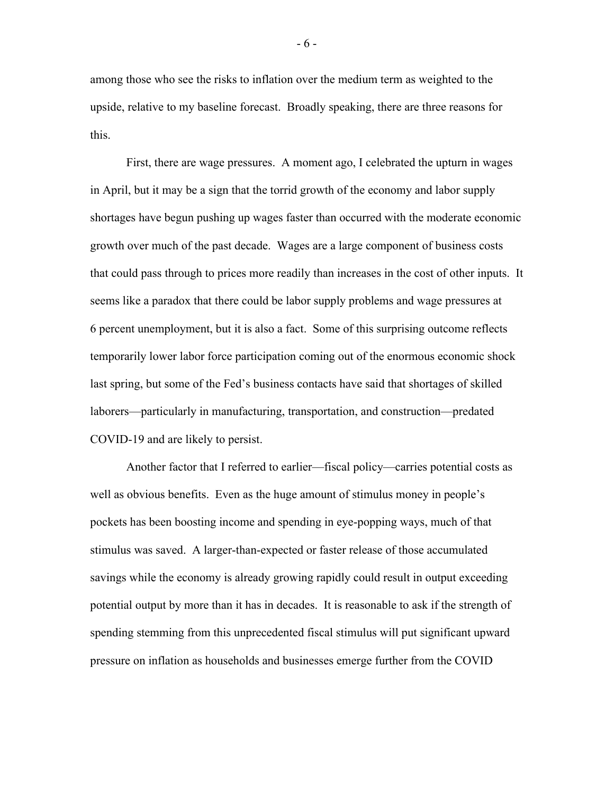among those who see the risks to inflation over the medium term as weighted to the upside, relative to my baseline forecast. Broadly speaking, there are three reasons for this.

First, there are wage pressures. A moment ago, I celebrated the upturn in wages in April, but it may be a sign that the torrid growth of the economy and labor supply shortages have begun pushing up wages faster than occurred with the moderate economic growth over much of the past decade. Wages are a large component of business costs that could pass through to prices more readily than increases in the cost of other inputs. It seems like a paradox that there could be labor supply problems and wage pressures at 6 percent unemployment, but it is also a fact. Some of this surprising outcome reflects temporarily lower labor force participation coming out of the enormous economic shock last spring, but some of the Fed's business contacts have said that shortages of skilled laborers—particularly in manufacturing, transportation, and construction—predated COVID-19 and are likely to persist.

Another factor that I referred to earlier—fiscal policy—carries potential costs as well as obvious benefits. Even as the huge amount of stimulus money in people's pockets has been boosting income and spending in eye-popping ways, much of that stimulus was saved. A larger-than-expected or faster release of those accumulated savings while the economy is already growing rapidly could result in output exceeding potential output by more than it has in decades. It is reasonable to ask if the strength of spending stemming from this unprecedented fiscal stimulus will put significant upward pressure on inflation as households and businesses emerge further from the COVID

- 6 -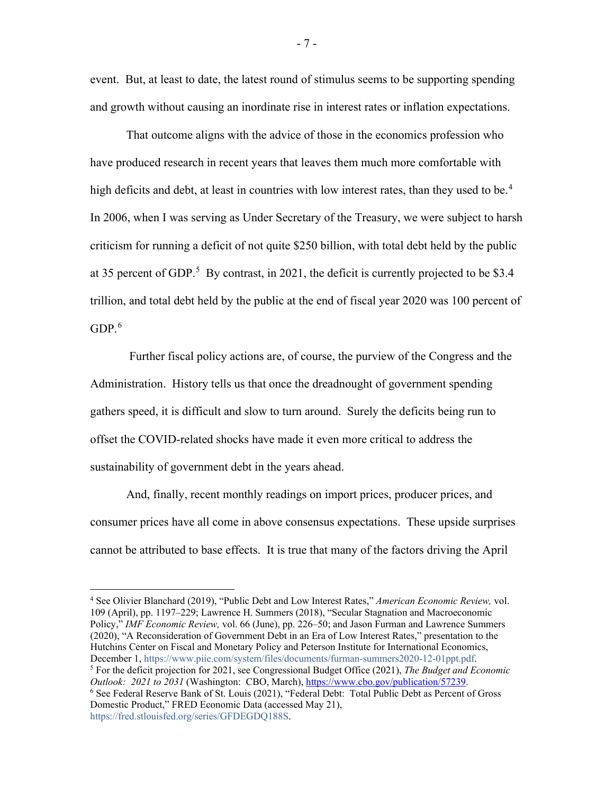event. But, at least to date, the latest round of stimulus seems to be supporting spending and growth without causing an inordinate rise in interest rates or inflation expectations.

That outcome aligns with the advice of those in the economics profession who have produced research in recent years that leaves them much more comfortable with high deficits and debt, at least in countries with low interest rates, than they used to be.<sup>[4](#page-7-0)</sup> In 2006, when I was serving as Under Secretary of the Treasury, we were subject to harsh criticism for running a deficit of not quite \$250 billion, with total debt held by the public at 3[5](#page-7-1) percent of GDP.<sup>5</sup> By contrast, in 2021, the deficit is currently projected to be \$3.4 trillion, and total debt held by the public at the end of fiscal year 2020 was 100 percent of  $GDP<sup>6</sup>$  $GDP<sup>6</sup>$  $GDP<sup>6</sup>$ 

Further fiscal policy actions are, of course, the purview of the Congress and the Administration. History tells us that once the dreadnought of government spending gathers speed, it is difficult and slow to turn around. Surely the deficits being run to offset the COVID-related shocks have made it even more critical to address the sustainability of government debt in the years ahead.

And, finally, recent monthly readings on import prices, producer prices, and consumer prices have all come in above consensus expectations. These upside surprises cannot be attributed to base effects. It is true that many of the factors driving the April

<span id="page-7-2"></span><span id="page-7-1"></span><span id="page-7-0"></span><sup>4</sup> See Olivier Blanchard (2019), "Public Debt and Low Interest Rates," *American Economic Review,* vol. 109 (April), pp. 1197–229; Lawrence H. Summers (2018), "Secular Stagnation and Macroeconomic Policy," *IMF Economic Review,* vol. 66 (June), pp. 226–50; and Jason Furman and Lawrence Summers (2020), "A Reconsideration of Government Debt in an Era of Low Interest Rates," presentation to the Hutchins Center on Fiscal and Monetary Policy and Peterson Institute for International Economics,<br>December 1, https://www.piie.com/system/files/documents/furman-summers2020-12-01ppt.pdf. <sup>5</sup> For the deficit projection for 2021, see Congressional Budget Office (2021), *The Budget and Economic Outlook: 2021 to 2031* (Washington: CBO, March), [https://www.cbo.gov/publication/57239.](https://www.cbo.gov/publication/57239)<br><sup>6</sup> See Federal Reserve Bank of St. Louis (2021), "Federal Debt: Total Public Debt as Percent of Gross Domestic Product," FRED Economic Data (accessed May 21), [https://fred.stlouisfed.org/series/GFDEGDQ188S.](https://fred.stlouisfed.org/series/GFDEGDQ188S)

- 7 -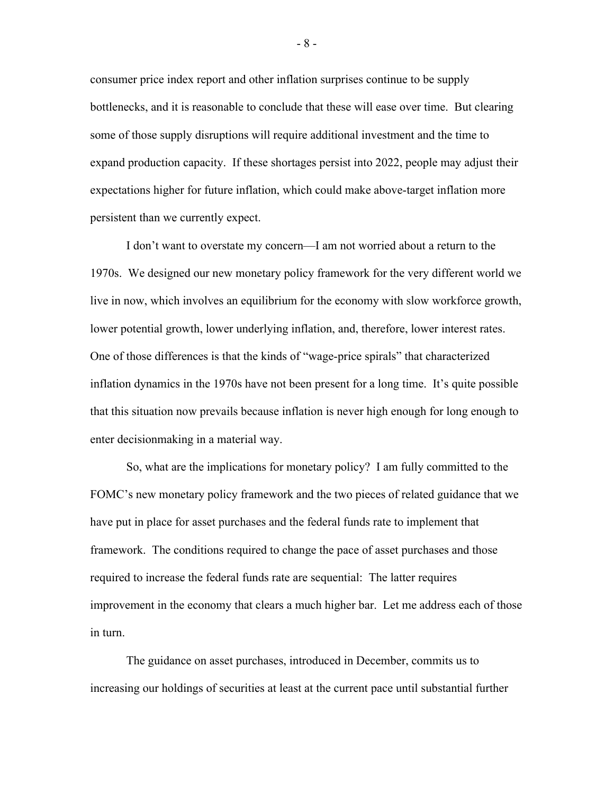consumer price index report and other inflation surprises continue to be supply bottlenecks, and it is reasonable to conclude that these will ease over time. But clearing some of those supply disruptions will require additional investment and the time to expand production capacity. If these shortages persist into 2022, people may adjust their expectations higher for future inflation, which could make above-target inflation more persistent than we currently expect.

I don't want to overstate my concern—I am not worried about a return to the 1970s. We designed our new monetary policy framework for the very different world we live in now, which involves an equilibrium for the economy with slow workforce growth, lower potential growth, lower underlying inflation, and, therefore, lower interest rates. One of those differences is that the kinds of "wage-price spirals" that characterized inflation dynamics in the 1970s have not been present for a long time. It's quite possible that this situation now prevails because inflation is never high enough for long enough to enter decisionmaking in a material way.

So, what are the implications for monetary policy? I am fully committed to the FOMC's new monetary policy framework and the two pieces of related guidance that we have put in place for asset purchases and the federal funds rate to implement that framework. The conditions required to change the pace of asset purchases and those required to increase the federal funds rate are sequential: The latter requires improvement in the economy that clears a much higher bar. Let me address each of those in turn.

The guidance on asset purchases, introduced in December, commits us to increasing our holdings of securities at least at the current pace until substantial further

- 8 -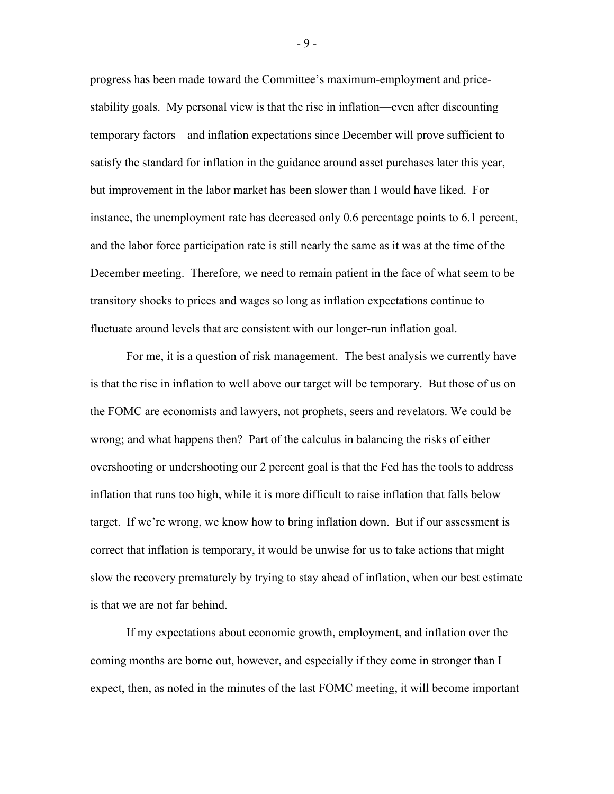progress has been made toward the Committee's maximum-employment and pricestability goals. My personal view is that the rise in inflation—even after discounting temporary factors—and inflation expectations since December will prove sufficient to satisfy the standard for inflation in the guidance around asset purchases later this year, but improvement in the labor market has been slower than I would have liked. For instance, the unemployment rate has decreased only 0.6 percentage points to 6.1 percent, and the labor force participation rate is still nearly the same as it was at the time of the December meeting. Therefore, we need to remain patient in the face of what seem to be transitory shocks to prices and wages so long as inflation expectations continue to fluctuate around levels that are consistent with our longer-run inflation goal.

For me, it is a question of risk management. The best analysis we currently have is that the rise in inflation to well above our target will be temporary. But those of us on the FOMC are economists and lawyers, not prophets, seers and revelators. We could be wrong; and what happens then? Part of the calculus in balancing the risks of either overshooting or undershooting our 2 percent goal is that the Fed has the tools to address inflation that runs too high, while it is more difficult to raise inflation that falls below target. If we're wrong, we know how to bring inflation down. But if our assessment is correct that inflation is temporary, it would be unwise for us to take actions that might slow the recovery prematurely by trying to stay ahead of inflation, when our best estimate is that we are not far behind.

If my expectations about economic growth, employment, and inflation over the coming months are borne out, however, and especially if they come in stronger than I expect, then, as noted in the minutes of the last FOMC meeting, it will become important

- 9 -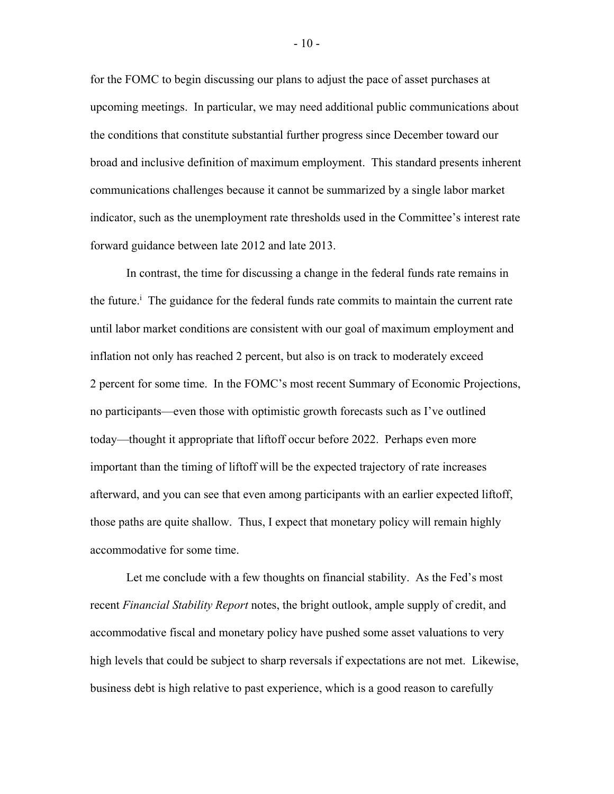for the FOMC to begin discussing our plans to adjust the pace of asset purchases at upcoming meetings. In particular, we may need additional public communications about the conditions that constitute substantial further progress since December toward our broad and inclusive definition of maximum employment. This standard presents inherent communications challenges because it cannot be summarized by a single labor market indicator, such as the unemployment rate thresholds used in the Committee's interest rate forward guidance between late 2012 and late 2013.

In contrast, the time for discussing a change in the federal funds rate remains in the future.<sup> $\frac{1}{1}$ </sup> The guidance for the federal funds rate commits to maintain the current rate until labor market conditions are consistent with our goal of maximum employment and inflation not only has reached 2 percent, but also is on track to moderately exceed 2 percent for some time. In the FOMC's most recent Summary of Economic Projections, no participants—even those with optimistic growth forecasts such as I've outlined today—thought it appropriate that liftoff occur before 2022. Perhaps even more important than the timing of liftoff will be the expected trajectory of rate increases afterward, and you can see that even among participants with an earlier expected liftoff, those paths are quite shallow. Thus, I expect that monetary policy will remain highly accommodative for some time.

Let me conclude with a few thoughts on financial stability. As the Fed's most recent *Financial Stability Report* notes, the bright outlook, ample supply of credit, and accommodative fiscal and monetary policy have pushed some asset valuations to very high levels that could be subject to sharp reversals if expectations are not met. Likewise, business debt is high relative to past experience, which is a good reason to carefully

- 10 -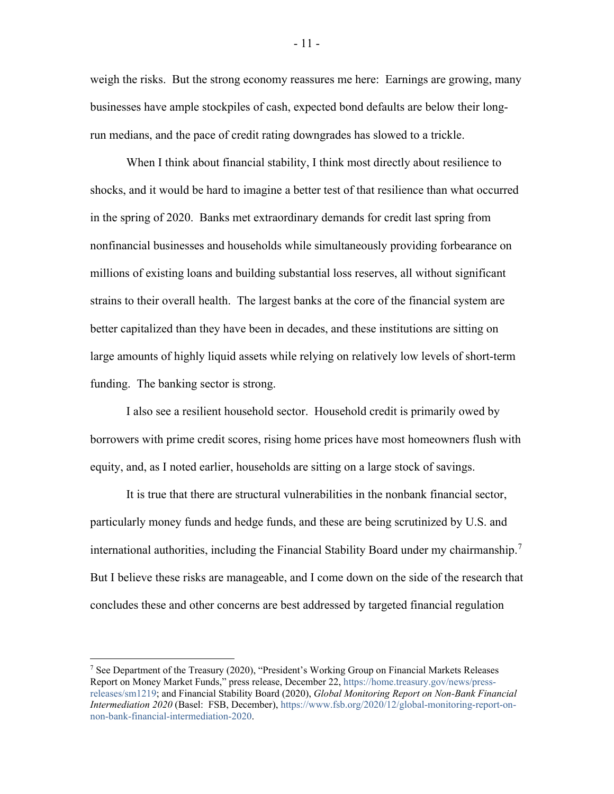weigh the risks. But the strong economy reassures me here: Earnings are growing, many businesses have ample stockpiles of cash, expected bond defaults are below their longrun medians, and the pace of credit rating downgrades has slowed to a trickle.

When I think about financial stability, I think most directly about resilience to shocks, and it would be hard to imagine a better test of that resilience than what occurred in the spring of 2020. Banks met extraordinary demands for credit last spring from nonfinancial businesses and households while simultaneously providing forbearance on millions of existing loans and building substantial loss reserves, all without significant strains to their overall health. The largest banks at the core of the financial system are better capitalized than they have been in decades, and these institutions are sitting on large amounts of highly liquid assets while relying on relatively low levels of short-term funding. The banking sector is strong.

I also see a resilient household sector. Household credit is primarily owed by borrowers with prime credit scores, rising home prices have most homeowners flush with equity, and, as I noted earlier, households are sitting on a large stock of savings.

It is true that there are structural vulnerabilities in the nonbank financial sector, particularly money funds and hedge funds, and these are being scrutinized by U.S. and international authorities, including the Financial Stability Board under my chairmanship.<sup>[7](#page-11-0)</sup> But I believe these risks are manageable, and I come down on the side of the research that concludes these and other concerns are best addressed by targeted financial regulation

- 11 -

<span id="page-11-0"></span><sup>7</sup> See Department of the Treasury (2020), "President's Working Group on Financial Markets Releases Report on Money Market Funds," press release, December 22, [https://home.treasury.gov/news/press](https://home.treasury.gov/news/press-releases/sm1219)[releases/sm1219;](https://home.treasury.gov/news/press-releases/sm1219) and Financial Stability Board (2020), *Global Monitoring Report on Non-Bank Financial Intermediation 2020* (Basel: FSB, December), [https://www.fsb.org/2020/12/global-monitoring-report-on](https://www.fsb.org/2020/12/global-monitoring-report-on-non-bank-financial-intermediation-2020/)[non-bank-financial-intermediation-2020.](https://www.fsb.org/2020/12/global-monitoring-report-on-non-bank-financial-intermediation-2020/)